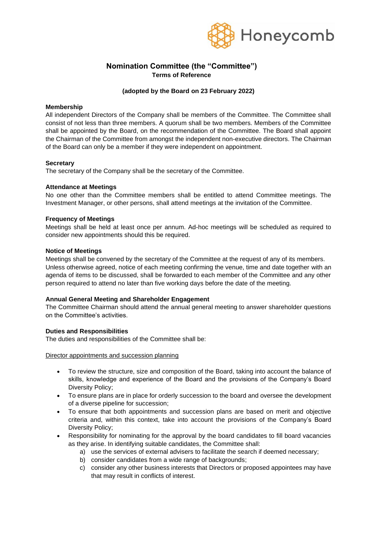

# **Nomination Committee (the "Committee") Terms of Reference**

# **(adopted by the Board on 23 February 2022)**

### **Membership**

All independent Directors of the Company shall be members of the Committee. The Committee shall consist of not less than three members. A quorum shall be two members. Members of the Committee shall be appointed by the Board, on the recommendation of the Committee. The Board shall appoint the Chairman of the Committee from amongst the independent non-executive directors. The Chairman of the Board can only be a member if they were independent on appointment.

### **Secretary**

The secretary of the Company shall be the secretary of the Committee.

### **Attendance at Meetings**

No one other than the Committee members shall be entitled to attend Committee meetings. The Investment Manager, or other persons, shall attend meetings at the invitation of the Committee.

### **Frequency of Meetings**

Meetings shall be held at least once per annum. Ad-hoc meetings will be scheduled as required to consider new appointments should this be required.

### **Notice of Meetings**

Meetings shall be convened by the secretary of the Committee at the request of any of its members. Unless otherwise agreed, notice of each meeting confirming the venue, time and date together with an agenda of items to be discussed, shall be forwarded to each member of the Committee and any other person required to attend no later than five working days before the date of the meeting.

## **Annual General Meeting and Shareholder Engagement**

The Committee Chairman should attend the annual general meeting to answer shareholder questions on the Committee's activities.

#### **Duties and Responsibilities**

The duties and responsibilities of the Committee shall be:

#### Director appointments and succession planning

- To review the structure, size and composition of the Board, taking into account the balance of skills, knowledge and experience of the Board and the provisions of the Company's Board Diversity Policy;
- To ensure plans are in place for orderly succession to the board and oversee the development of a diverse pipeline for succession;
- To ensure that both appointments and succession plans are based on merit and objective criteria and, within this context, take into account the provisions of the Company's Board Diversity Policy;
- Responsibility for nominating for the approval by the board candidates to fill board vacancies as they arise. In identifying suitable candidates, the Committee shall:
	- a) use the services of external advisers to facilitate the search if deemed necessary;
	- b) consider candidates from a wide range of backgrounds;
	- c) consider any other business interests that Directors or proposed appointees may have that may result in conflicts of interest.